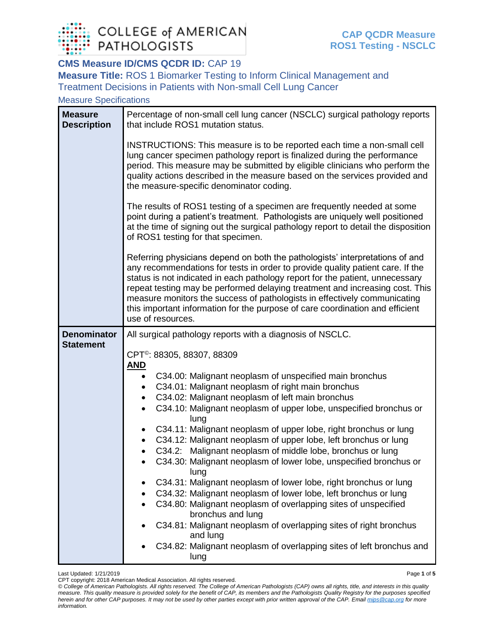

## **CMS Measure ID/CMS QCDR ID: CAP 19**

**Measure Title:** ROS 1 Biomarker Testing to Inform Clinical Management and Treatment Decisions in Patients with Non-small Cell Lung Cancer

Measure Specifications

| <b>Measure</b><br><b>Description</b> | Percentage of non-small cell lung cancer (NSCLC) surgical pathology reports<br>that include ROS1 mutation status.                                                                                                                                                                                                                                                                                                                                                                                                                                                                                                                                                                                                                                                                                                                                                                                                                                                                                                                                                                                                                                                             |  |  |  |  |
|--------------------------------------|-------------------------------------------------------------------------------------------------------------------------------------------------------------------------------------------------------------------------------------------------------------------------------------------------------------------------------------------------------------------------------------------------------------------------------------------------------------------------------------------------------------------------------------------------------------------------------------------------------------------------------------------------------------------------------------------------------------------------------------------------------------------------------------------------------------------------------------------------------------------------------------------------------------------------------------------------------------------------------------------------------------------------------------------------------------------------------------------------------------------------------------------------------------------------------|--|--|--|--|
|                                      | INSTRUCTIONS: This measure is to be reported each time a non-small cell<br>lung cancer specimen pathology report is finalized during the performance<br>period. This measure may be submitted by eligible clinicians who perform the<br>quality actions described in the measure based on the services provided and<br>the measure-specific denominator coding.<br>The results of ROS1 testing of a specimen are frequently needed at some<br>point during a patient's treatment. Pathologists are uniquely well positioned<br>at the time of signing out the surgical pathology report to detail the disposition<br>of ROS1 testing for that specimen.<br>Referring physicians depend on both the pathologists' interpretations of and<br>any recommendations for tests in order to provide quality patient care. If the<br>status is not indicated in each pathology report for the patient, unnecessary<br>repeat testing may be performed delaying treatment and increasing cost. This<br>measure monitors the success of pathologists in effectively communicating<br>this important information for the purpose of care coordination and efficient<br>use of resources. |  |  |  |  |
|                                      |                                                                                                                                                                                                                                                                                                                                                                                                                                                                                                                                                                                                                                                                                                                                                                                                                                                                                                                                                                                                                                                                                                                                                                               |  |  |  |  |
|                                      |                                                                                                                                                                                                                                                                                                                                                                                                                                                                                                                                                                                                                                                                                                                                                                                                                                                                                                                                                                                                                                                                                                                                                                               |  |  |  |  |
| <b>Denominator</b>                   | All surgical pathology reports with a diagnosis of NSCLC.                                                                                                                                                                                                                                                                                                                                                                                                                                                                                                                                                                                                                                                                                                                                                                                                                                                                                                                                                                                                                                                                                                                     |  |  |  |  |
| <b>Statement</b>                     | CPT <sup>®</sup> : 88305, 88307, 88309                                                                                                                                                                                                                                                                                                                                                                                                                                                                                                                                                                                                                                                                                                                                                                                                                                                                                                                                                                                                                                                                                                                                        |  |  |  |  |
|                                      | <u>AND</u>                                                                                                                                                                                                                                                                                                                                                                                                                                                                                                                                                                                                                                                                                                                                                                                                                                                                                                                                                                                                                                                                                                                                                                    |  |  |  |  |
|                                      | C34.00: Malignant neoplasm of unspecified main bronchus                                                                                                                                                                                                                                                                                                                                                                                                                                                                                                                                                                                                                                                                                                                                                                                                                                                                                                                                                                                                                                                                                                                       |  |  |  |  |
|                                      | C34.01: Malignant neoplasm of right main bronchus                                                                                                                                                                                                                                                                                                                                                                                                                                                                                                                                                                                                                                                                                                                                                                                                                                                                                                                                                                                                                                                                                                                             |  |  |  |  |
|                                      | C34.02: Malignant neoplasm of left main bronchus                                                                                                                                                                                                                                                                                                                                                                                                                                                                                                                                                                                                                                                                                                                                                                                                                                                                                                                                                                                                                                                                                                                              |  |  |  |  |
|                                      | C34.10: Malignant neoplasm of upper lobe, unspecified bronchus or<br>lung                                                                                                                                                                                                                                                                                                                                                                                                                                                                                                                                                                                                                                                                                                                                                                                                                                                                                                                                                                                                                                                                                                     |  |  |  |  |
|                                      | C34.11: Malignant neoplasm of upper lobe, right bronchus or lung<br>٠                                                                                                                                                                                                                                                                                                                                                                                                                                                                                                                                                                                                                                                                                                                                                                                                                                                                                                                                                                                                                                                                                                         |  |  |  |  |
|                                      | C34.12: Malignant neoplasm of upper lobe, left bronchus or lung                                                                                                                                                                                                                                                                                                                                                                                                                                                                                                                                                                                                                                                                                                                                                                                                                                                                                                                                                                                                                                                                                                               |  |  |  |  |
|                                      | C34.2: Malignant neoplasm of middle lobe, bronchus or lung                                                                                                                                                                                                                                                                                                                                                                                                                                                                                                                                                                                                                                                                                                                                                                                                                                                                                                                                                                                                                                                                                                                    |  |  |  |  |
|                                      | C34.30: Malignant neoplasm of lower lobe, unspecified bronchus or<br>lung                                                                                                                                                                                                                                                                                                                                                                                                                                                                                                                                                                                                                                                                                                                                                                                                                                                                                                                                                                                                                                                                                                     |  |  |  |  |
|                                      | C34.31: Malignant neoplasm of lower lobe, right bronchus or lung                                                                                                                                                                                                                                                                                                                                                                                                                                                                                                                                                                                                                                                                                                                                                                                                                                                                                                                                                                                                                                                                                                              |  |  |  |  |
|                                      | C34.32: Malignant neoplasm of lower lobe, left bronchus or lung                                                                                                                                                                                                                                                                                                                                                                                                                                                                                                                                                                                                                                                                                                                                                                                                                                                                                                                                                                                                                                                                                                               |  |  |  |  |
|                                      | C34.80: Malignant neoplasm of overlapping sites of unspecified<br>bronchus and lung                                                                                                                                                                                                                                                                                                                                                                                                                                                                                                                                                                                                                                                                                                                                                                                                                                                                                                                                                                                                                                                                                           |  |  |  |  |
|                                      | C34.81: Malignant neoplasm of overlapping sites of right bronchus                                                                                                                                                                                                                                                                                                                                                                                                                                                                                                                                                                                                                                                                                                                                                                                                                                                                                                                                                                                                                                                                                                             |  |  |  |  |
|                                      | and lung<br>C34.82: Malignant neoplasm of overlapping sites of left bronchus and                                                                                                                                                                                                                                                                                                                                                                                                                                                                                                                                                                                                                                                                                                                                                                                                                                                                                                                                                                                                                                                                                              |  |  |  |  |
|                                      | lung                                                                                                                                                                                                                                                                                                                                                                                                                                                                                                                                                                                                                                                                                                                                                                                                                                                                                                                                                                                                                                                                                                                                                                          |  |  |  |  |

Last Updated: 1/21/2019 Page **1** of **5**

CPT copyright: 2018 American Medical Association. All rights reserved.

*© College of American Pathologists. All rights reserved. The College of American Pathologists (CAP) owns all rights, title, and interests in this quality measure. This quality measure is provided solely for the benefit of CAP, its members and the Pathologists Quality Registry for the purposes specified herein and for other CAP purposes. It may not be used by other parties except with prior written approval of the CAP. Emai[l mips@cap.org](mailto:mips@cap.org) for more information.*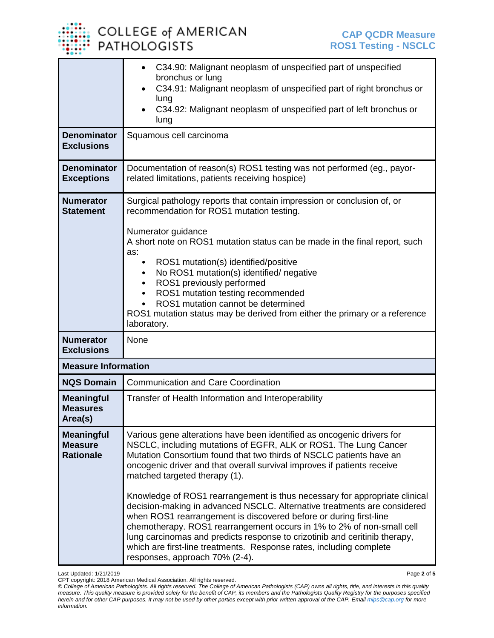COLLEGE of AMERICAN **PATHOLOGISTS** 

|                                                         | C34.90: Malignant neoplasm of unspecified part of unspecified<br>$\bullet$<br>bronchus or lung<br>C34.91: Malignant neoplasm of unspecified part of right bronchus or<br>lung<br>C34.92: Malignant neoplasm of unspecified part of left bronchus or<br>lung                                                                                                                                                                                                                                                                                                                                                                                                                                                                                                                                                                  |  |  |
|---------------------------------------------------------|------------------------------------------------------------------------------------------------------------------------------------------------------------------------------------------------------------------------------------------------------------------------------------------------------------------------------------------------------------------------------------------------------------------------------------------------------------------------------------------------------------------------------------------------------------------------------------------------------------------------------------------------------------------------------------------------------------------------------------------------------------------------------------------------------------------------------|--|--|
| <b>Denominator</b><br><b>Exclusions</b>                 | Squamous cell carcinoma                                                                                                                                                                                                                                                                                                                                                                                                                                                                                                                                                                                                                                                                                                                                                                                                      |  |  |
| <b>Denominator</b><br><b>Exceptions</b>                 | Documentation of reason(s) ROS1 testing was not performed (eg., payor-<br>related limitations, patients receiving hospice)                                                                                                                                                                                                                                                                                                                                                                                                                                                                                                                                                                                                                                                                                                   |  |  |
| <b>Numerator</b><br><b>Statement</b>                    | Surgical pathology reports that contain impression or conclusion of, or<br>recommendation for ROS1 mutation testing.<br>Numerator guidance<br>A short note on ROS1 mutation status can be made in the final report, such<br>as:<br>ROS1 mutation(s) identified/positive<br>$\bullet$<br>No ROS1 mutation(s) identified/ negative<br>ROS1 previously performed<br>ROS1 mutation testing recommended<br>$\bullet$<br>ROS1 mutation cannot be determined<br>ROS1 mutation status may be derived from either the primary or a reference<br>laboratory.                                                                                                                                                                                                                                                                           |  |  |
| <b>Numerator</b><br><b>Exclusions</b>                   | None                                                                                                                                                                                                                                                                                                                                                                                                                                                                                                                                                                                                                                                                                                                                                                                                                         |  |  |
| <b>Measure Information</b>                              |                                                                                                                                                                                                                                                                                                                                                                                                                                                                                                                                                                                                                                                                                                                                                                                                                              |  |  |
| <b>NQS Domain</b>                                       | <b>Communication and Care Coordination</b>                                                                                                                                                                                                                                                                                                                                                                                                                                                                                                                                                                                                                                                                                                                                                                                   |  |  |
| <b>Meaningful</b><br><b>Measures</b><br>Area(s)         | Transfer of Health Information and Interoperability                                                                                                                                                                                                                                                                                                                                                                                                                                                                                                                                                                                                                                                                                                                                                                          |  |  |
| <b>Meaningful</b><br><b>Measure</b><br><b>Rationale</b> | Various gene alterations have been identified as oncogenic drivers for<br>NSCLC, including mutations of EGFR, ALK or ROS1. The Lung Cancer<br>Mutation Consortium found that two thirds of NSCLC patients have an<br>oncogenic driver and that overall survival improves if patients receive<br>matched targeted therapy (1).<br>Knowledge of ROS1 rearrangement is thus necessary for appropriate clinical<br>decision-making in advanced NSCLC. Alternative treatments are considered<br>when ROS1 rearrangement is discovered before or during first-line<br>chemotherapy. ROS1 rearrangement occurs in 1% to 2% of non-small cell<br>lung carcinomas and predicts response to crizotinib and ceritinib therapy,<br>which are first-line treatments. Response rates, including complete<br>responses, approach 70% (2-4). |  |  |

Last Updated: 1/21/2019 Page **2** of **5**

CPT copyright: 2018 American Medical Association. All rights reserved. *© College of American Pathologists. All rights reserved. The College of American Pathologists (CAP) owns all rights, title, and interests in this quality measure. This quality measure is provided solely for the benefit of CAP, its members and the Pathologists Quality Registry for the purposes specified herein and for other CAP purposes. It may not be used by other parties except with prior written approval of the CAP. Emai[l mips@cap.org](mailto:mips@cap.org) for more information.*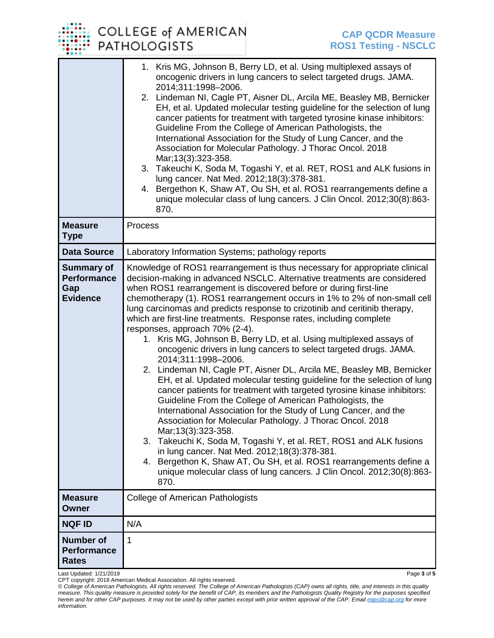## COLLEGE of AMERICAN **PATHOLOGISTS**

|                                                                   | 1. Kris MG, Johnson B, Berry LD, et al. Using multiplexed assays of<br>oncogenic drivers in lung cancers to select targeted drugs. JAMA.<br>2014;311:1998-2006.<br>2. Lindeman NI, Cagle PT, Aisner DL, Arcila ME, Beasley MB, Bernicker<br>EH, et al. Updated molecular testing guideline for the selection of lung<br>cancer patients for treatment with targeted tyrosine kinase inhibitors:<br>Guideline From the College of American Pathologists, the<br>International Association for the Study of Lung Cancer, and the<br>Association for Molecular Pathology. J Thorac Oncol. 2018<br>Mar; 13(3): 323-358.<br>3. Takeuchi K, Soda M, Togashi Y, et al. RET, ROS1 and ALK fusions in<br>lung cancer. Nat Med. 2012;18(3):378-381.<br>Bergethon K, Shaw AT, Ou SH, et al. ROS1 rearrangements define a<br>4.<br>unique molecular class of lung cancers. J Clin Oncol. 2012;30(8):863-<br>870.                                                                                                                                                                                                                                                                                                                                                                                                                                                                                                 |
|-------------------------------------------------------------------|------------------------------------------------------------------------------------------------------------------------------------------------------------------------------------------------------------------------------------------------------------------------------------------------------------------------------------------------------------------------------------------------------------------------------------------------------------------------------------------------------------------------------------------------------------------------------------------------------------------------------------------------------------------------------------------------------------------------------------------------------------------------------------------------------------------------------------------------------------------------------------------------------------------------------------------------------------------------------------------------------------------------------------------------------------------------------------------------------------------------------------------------------------------------------------------------------------------------------------------------------------------------------------------------------------------------------------------------------------------------------------------------------|
| <b>Measure</b><br><b>Type</b>                                     | Process                                                                                                                                                                                                                                                                                                                                                                                                                                                                                                                                                                                                                                                                                                                                                                                                                                                                                                                                                                                                                                                                                                                                                                                                                                                                                                                                                                                              |
| <b>Data Source</b>                                                | Laboratory Information Systems; pathology reports                                                                                                                                                                                                                                                                                                                                                                                                                                                                                                                                                                                                                                                                                                                                                                                                                                                                                                                                                                                                                                                                                                                                                                                                                                                                                                                                                    |
| <b>Summary of</b><br><b>Performance</b><br>Gap<br><b>Evidence</b> | Knowledge of ROS1 rearrangement is thus necessary for appropriate clinical<br>decision-making in advanced NSCLC. Alternative treatments are considered<br>when ROS1 rearrangement is discovered before or during first-line<br>chemotherapy (1). ROS1 rearrangement occurs in 1% to 2% of non-small cell<br>lung carcinomas and predicts response to crizotinib and ceritinib therapy,<br>which are first-line treatments. Response rates, including complete<br>responses, approach 70% (2-4).<br>1. Kris MG, Johnson B, Berry LD, et al. Using multiplexed assays of<br>oncogenic drivers in lung cancers to select targeted drugs. JAMA.<br>2014;311:1998-2006.<br>2. Lindeman NI, Cagle PT, Aisner DL, Arcila ME, Beasley MB, Bernicker<br>EH, et al. Updated molecular testing guideline for the selection of lung<br>cancer patients for treatment with targeted tyrosine kinase inhibitors:<br>Guideline From the College of American Pathologists, the<br>International Association for the Study of Lung Cancer, and the<br>Association for Molecular Pathology. J Thorac Oncol. 2018<br>Mar; 13(3): 323-358.<br>3. Takeuchi K, Soda M, Togashi Y, et al. RET, ROS1 and ALK fusions<br>in lung cancer. Nat Med. 2012;18(3):378-381.<br>4. Bergethon K, Shaw AT, Ou SH, et al. ROS1 rearrangements define a<br>unique molecular class of lung cancers. J Clin Oncol. 2012;30(8):863-<br>870. |
| <b>Measure</b><br><b>Owner</b>                                    | <b>College of American Pathologists</b>                                                                                                                                                                                                                                                                                                                                                                                                                                                                                                                                                                                                                                                                                                                                                                                                                                                                                                                                                                                                                                                                                                                                                                                                                                                                                                                                                              |
| <b>NQF ID</b>                                                     | N/A                                                                                                                                                                                                                                                                                                                                                                                                                                                                                                                                                                                                                                                                                                                                                                                                                                                                                                                                                                                                                                                                                                                                                                                                                                                                                                                                                                                                  |
| <b>Number of</b><br><b>Performance</b><br><b>Rates</b>            | 1                                                                                                                                                                                                                                                                                                                                                                                                                                                                                                                                                                                                                                                                                                                                                                                                                                                                                                                                                                                                                                                                                                                                                                                                                                                                                                                                                                                                    |

Last Updated: 1/21/2019 Page **3** of **5**

CPT copyright: 2018 American Medical Association. All rights reserved.

*© College of American Pathologists. All rights reserved. The College of American Pathologists (CAP) owns all rights, title, and interests in this quality measure. This quality measure is provided solely for the benefit of CAP, its members and the Pathologists Quality Registry for the purposes specified herein and for other CAP purposes. It may not be used by other parties except with prior written approval of the CAP. Emai[l mips@cap.org](mailto:mips@cap.org) for more information.*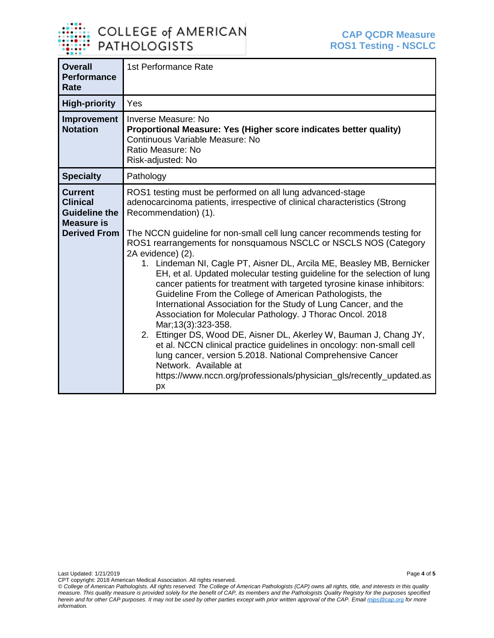

| <b>Overall</b><br><b>Performance</b><br>Rate                                                          | 1st Performance Rate                                                                                                                                                                                                                                                                                                                                                                                                                                                                                                                                                                                                                                                                                                                                                                                                                                                                                                                                                                                                                                                                                       |
|-------------------------------------------------------------------------------------------------------|------------------------------------------------------------------------------------------------------------------------------------------------------------------------------------------------------------------------------------------------------------------------------------------------------------------------------------------------------------------------------------------------------------------------------------------------------------------------------------------------------------------------------------------------------------------------------------------------------------------------------------------------------------------------------------------------------------------------------------------------------------------------------------------------------------------------------------------------------------------------------------------------------------------------------------------------------------------------------------------------------------------------------------------------------------------------------------------------------------|
| <b>High-priority</b>                                                                                  | Yes                                                                                                                                                                                                                                                                                                                                                                                                                                                                                                                                                                                                                                                                                                                                                                                                                                                                                                                                                                                                                                                                                                        |
| Improvement<br><b>Notation</b>                                                                        | Inverse Measure: No<br>Proportional Measure: Yes (Higher score indicates better quality)<br>Continuous Variable Measure: No<br>Ratio Measure: No<br>Risk-adjusted: No                                                                                                                                                                                                                                                                                                                                                                                                                                                                                                                                                                                                                                                                                                                                                                                                                                                                                                                                      |
| <b>Specialty</b>                                                                                      | Pathology                                                                                                                                                                                                                                                                                                                                                                                                                                                                                                                                                                                                                                                                                                                                                                                                                                                                                                                                                                                                                                                                                                  |
| <b>Current</b><br><b>Clinical</b><br><b>Guideline the</b><br><b>Measure is</b><br><b>Derived From</b> | ROS1 testing must be performed on all lung advanced-stage<br>adenocarcinoma patients, irrespective of clinical characteristics (Strong<br>Recommendation) (1).<br>The NCCN guideline for non-small cell lung cancer recommends testing for<br>ROS1 rearrangements for nonsquamous NSCLC or NSCLS NOS (Category<br>2A evidence) (2).<br>1. Lindeman NI, Cagle PT, Aisner DL, Arcila ME, Beasley MB, Bernicker<br>EH, et al. Updated molecular testing guideline for the selection of lung<br>cancer patients for treatment with targeted tyrosine kinase inhibitors:<br>Guideline From the College of American Pathologists, the<br>International Association for the Study of Lung Cancer, and the<br>Association for Molecular Pathology. J Thorac Oncol. 2018<br>Mar; 13(3): 323-358.<br>2. Ettinger DS, Wood DE, Aisner DL, Akerley W, Bauman J, Chang JY,<br>et al. NCCN clinical practice guidelines in oncology: non-small cell<br>lung cancer, version 5.2018. National Comprehensive Cancer<br>Network. Available at<br>https://www.nccn.org/professionals/physician_gls/recently_updated.as<br>px |

Last Updated: 1/21/2019 Page **4** of **5**

CPT copyright: 2018 American Medical Association. All rights reserved. *© College of American Pathologists. All rights reserved. The College of American Pathologists (CAP) owns all rights, title, and interests in this quality measure. This quality measure is provided solely for the benefit of CAP, its members and the Pathologists Quality Registry for the purposes specified herein and for other CAP purposes. It may not be used by other parties except with prior written approval of the CAP. Emai[l mips@cap.org](mailto:mips@cap.org) for more information.*